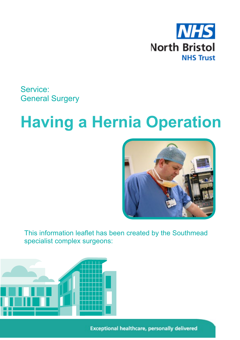

Service: General Surgery

# **Having a Hernia Operation**



This information leaflet has been created by the Southmead specialist complex surgeons:



**Exceptional healthcare, personally delivered**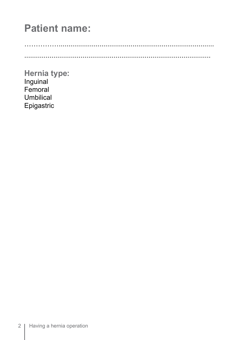# **Patient name:**

 $\sim$ 

Hernia type: Inguinal Femoral Umbilical Epigastric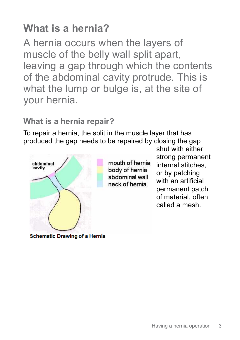# **What is a hernia?**

A hernia occurs when the layers of muscle of the belly wall split apart, leaving a gap through which the contents of the abdominal cavity protrude. This is what the lump or bulge is, at the site of your hernia.

### **What is a hernia repair?**

To repair a hernia, the split in the muscle layer that has produced the gap needs to be repaired by closing the gap



mouth of hernia body of hernia abdominal wall neck of hernia

shut with either strong permanent internal stitches, or by patching with an artificial permanent patch of material, often called a mesh.

**Schematic Drawing of a Hernia**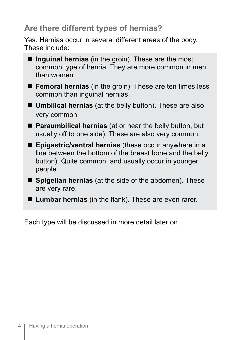### **Are there different types of hernias?**

Yes. Hernias occur in several different areas of the body. These include:

- $\blacksquare$  **Inguinal hernias** (in the groin). These are the most common type of hernia. They are more common in men than women.
- **Femoral hernias** (in the groin). These are ten times less common than inguinal hernias.
- **Umbilical hernias** (at the belly button). These are also very common
- **Paraumbilical hernias** (at or near the belly button, but usually off to one side). These are also very common.
- Epigastric/ventral hernias (these occur anywhere in a line between the bottom of the breast bone and the belly button). Quite common, and usually occur in younger people.
- $\blacksquare$  **Spigelian hernias** (at the side of the abdomen). These are very rare.
- Lumbar hernias (in the flank). These are even rarer.

Each type will be discussed in more detail later on.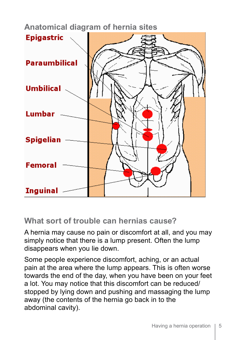**Anatomical diagram of hernia sites**



**What sort of trouble can hernias cause?** 

A hernia may cause no pain or discomfort at all, and you may simply notice that there is a lump present. Often the lump disappears when you lie down.

Some people experience discomfort, aching, or an actual pain at the area where the lump appears. This is often worse towards the end of the day, when you have been on your feet a lot. You may notice that this discomfort can be reduced/ stopped by lying down and pushing and massaging the lump away (the contents of the hernia go back in to the abdominal cavity).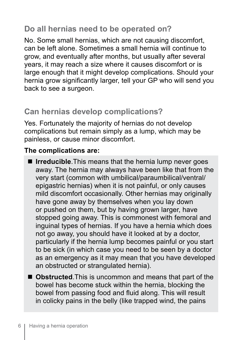## **Do all hernias need to be operated on?**

No. Some small hernias, which are not causing discomfort, can be left alone. Sometimes a small hernia will continue to grow, and eventually after months, but usually after several years, it may reach a size where it causes discomfort or is large enough that it might develop complications. Should your hernia grow significantly larger, tell your GP who will send you back to see a surgeon.

# **Can hernias develop complications?**

Yes. Fortunately the majority of hernias do not develop complications but remain simply as a lump, which may be painless, or cause minor discomfort.

#### **The complications are:**

- $\blacksquare$  **Irreducible**. This means that the hernia lump never goes away. The hernia may always have been like that from the very start (common with umbilical/paraumbilical/ventral/ epigastric hernias) when it is not painful, or only causes mild discomfort occasionally. Other hernias may originally have gone away by themselves when you lay down or pushed on them, but by having grown larger, have stopped going away. This is commonest with femoral and inguinal types of hernias. If you have a hernia which does not go away, you should have it looked at by a doctor, particularly if the hernia lump becomes painful or you start to be sick (in which case you need to be seen by a doctor as an emergency as it may mean that you have developed an obstructed or strangulated hernia).
- $\blacksquare$  **Obstructed**. This is uncommon and means that part of the bowel has become stuck within the hernia, blocking the bowel from passing food and fluid along. This will result in colicky pains in the belly (like trapped wind, the pains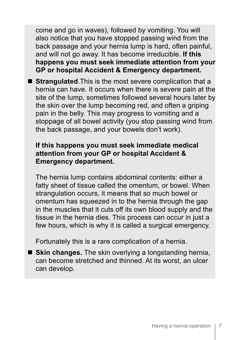come and go in waves), followed by vomiting. You will also notice that you have stopped passing wind from the back passage and your hernia lump is hard, often painful, and will not go away. It has become irreducible. **If this happens you must seek immediate attention from your GP or hospital Accident & Emergency department.**

**E** Strangulated. This is the most severe complication that a hernia can have. It occurs when there is severe pain at the site of the lump, sometimes followed several hours later by the skin over the lump becoming red, and often a griping pain in the belly. This may progress to vomiting and a stoppage of all bowel activity (you stop passing wind from the back passage, and your bowels don't work).

#### **If this happens you must seek immediate medical attention from your GP or hospital Accident & Emergency department.**

The hernia lump contains abdominal contents: either a fatty sheet of tissue called the omentum, or bowel. When strangulation occurs, it means that so much bowel or omentum has squeezed in to the hernia through the gap in the muscles that it cuts off its own blood supply and the tissue in the hernia dies. This process can occur in just a few hours, which is why it is called a surgical emergency.

Fortunately this is a rare complication of a hernia.

**E** Skin changes. The skin overlying a longstanding hernia, can become stretched and thinned. At its worst, an ulcer can develop.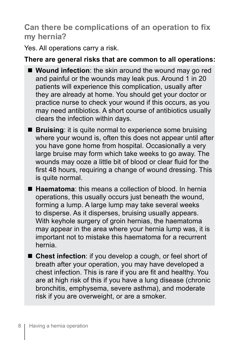## **Can there be complications of an operation to fix my hernia?**

Yes. All operations carry a risk.

#### **There are general risks that are common to all operations:**

- **Wound infection**: the skin around the wound may go red and painful or the wounds may leak pus. Around 1 in 20 patients will experience this complication, usually after they are already at home. You should get your doctor or practice nurse to check your wound if this occurs, as you may need antibiotics. A short course of antibiotics usually clears the infection within days.
- **Bruising**: it is quite normal to experience some bruising where your wound is, often this does not appear until after you have gone home from hospital. Occasionally a very large bruise may form which take weeks to go away. The wounds may ooze a little bit of blood or clear fluid for the first 48 hours, requiring a change of wound dressing. This is quite normal.
- **Hetamatoma:** this means a collection of blood. In hernia operations, this usually occurs just beneath the wound, forming a lump. A large lump may take several weeks to disperse. As it disperses, bruising usually appears. With keyhole surgery of groin hernias, the haematoma may appear in the area where your hernia lump was, it is important not to mistake this haematoma for a recurrent hernia.
- Chest infection: if you develop a cough, or feel short of breath after your operation, you may have developed a chest infection. This is rare if you are fit and healthy. You are at high risk of this if you have a lung disease (chronic bronchitis, emphysema, severe asthma), and moderate risk if you are overweight, or are a smoker.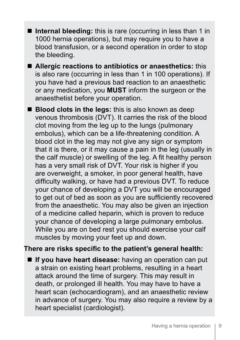- **n** Internal bleeding: this is rare (occurring in less than 1 in 1000 hernia operations), but may require you to have a blood transfusion, or a second operation in order to stop the bleeding.
- Allergic reactions to antibiotics or anaesthetics: this is also rare (occurring in less than 1 in 100 operations). If you have had a previous bad reaction to an anaesthetic or any medication, you **MUST** inform the surgeon or the anaesthetist before your operation.
- **Blood clots in the legs:** this is also known as deep venous thrombosis (DVT). It carries the risk of the blood clot moving from the leg up to the lungs (pulmonary embolus), which can be a life-threatening condition. A blood clot in the leg may not give any sign or symptom that it is there, or it may cause a pain in the leg (usually in the calf muscle) or swelling of the leg. A fit healthy person has a very small risk of DVT. Your risk is higher if you are overweight, a smoker, in poor general health, have difficulty walking, or have had a previous DVT. To reduce your chance of developing a DVT you will be encouraged to get out of bed as soon as you are sufficiently recovered from the anaesthetic. You may also be given an injection of a medicine called heparin, which is proven to reduce your chance of developing a large pulmonary embolus. While you are on bed rest you should exercise your calf muscles by moving your feet up and down.

#### **There are risks specific to the patient's general health:**

**If you have heart disease:** having an operation can put a strain on existing heart problems, resulting in a heart attack around the time of surgery. This may result in death, or prolonged ill health. You may have to have a heart scan (echocardiogram), and an anaesthetic review in advance of surgery. You may also require a review by a heart specialist (cardiologist).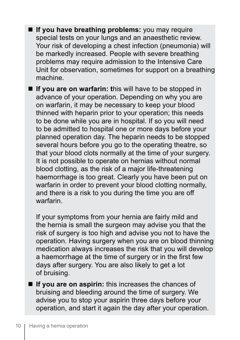**F** If you have breathing problems: you may require special tests on your lungs and an anaesthetic review. Your risk of developing a chest infection (pneumonia) will be markedly increased. People with severe breathing problems may require admission to the Intensive Care Unit for observation, sometimes for support on a breathing machine.

**If you are on warfarin: this will have to be stopped in** advance of your operation. Depending on why you are on warfarin, it may be necessary to keep your blood thinned with heparin prior to your operation; this needs to be done while you are in hospital. If so you will need to be admitted to hospital one or more days before your planned operation day. The heparin needs to be stopped several hours before you go to the operating theatre, so that your blood clots normally at the time of your surgery. It is not possible to operate on hernias without normal blood clotting, as the risk of a major life-threatening haemorrhage is too great. Clearly you have been put on warfarin in order to prevent your blood clotting normally, and there is a risk to you during the time you are off warfarin.

If your symptoms from your hernia are fairly mild and the hernia is small the surgeon may advise you that the risk of surgery is too high and advise you not to have the operation. Having surgery when you are on blood thinning medication always increases the risk that you will develop a haemorrhage at the time of surgery or in the first few days after surgery. You are also likely to get a lot of bruising.

**If you are on aspirin:** this increases the chances of bruising and bleeding around the time of surgery. We advise you to stop your aspirin three days before your operation, and start it again the day after your operation.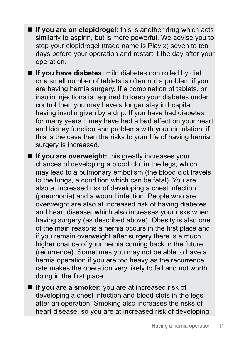- **If you are on clopidrogel:** this is another drug which acts similarly to aspirin, but is more powerful. We advise you to stop your clopidrogel (trade name is Plavix) seven to ten days before your operation and restart it the day after your operation.
- **If you have diabetes:** mild diabetes controlled by diet or a small number of tablets is often not a problem if you are having hernia surgery. If a combination of tablets, or insulin injections is required to keep your diabetes under control then you may have a longer stay in hospital, having insulin given by a drip. If you have had diabetes for many years it may have had a bad effect on your heart and kidney function and problems with your circulation: if this is the case then the risks to your life of having hernia surgery is increased.
- $\blacksquare$  **If you are overweight:** this greatly increases your chances of developing a blood clot in the legs, which may lead to a pulmonary embolism (the blood clot travels to the lungs, a condition which can be fatal). You are also at increased risk of developing a chest infection (pneumonia) and a wound infection. People who are overweight are also at increased risk of having diabetes and heart disease, which also increases your risks when having surgery (as described above). Obesity is also one of the main reasons a hernia occurs in the first place and if you remain overweight after surgery there is a much higher chance of your hernia coming back in the future (recurrence). Sometimes you may not be able to have a hernia operation if you are too heavy as the recurrence rate makes the operation very likely to fail and not worth doing in the first place.
- **If you are a smoker:** you are at increased risk of developing a chest infection and blood clots in the legs after an operation. Smoking also increases the risks of heart disease, so you are at increased risk of developing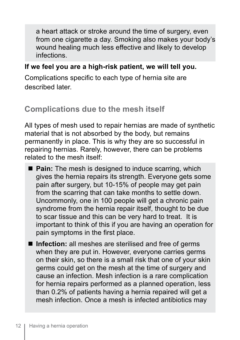a heart attack or stroke around the time of surgery, even from one cigarette a day. Smoking also makes your body's wound healing much less effective and likely to develop infections.

#### **If we feel you are a high-risk patient, we will tell you.**

Complications specific to each type of hernia site are described later.

### **Complications due to the mesh itself**

All types of mesh used to repair hernias are made of synthetic material that is not absorbed by the body, but remains permanently in place. This is why they are so successful in repairing hernias. Rarely, however, there can be problems related to the mesh itself:

- **Pain:** The mesh is designed to induce scarring, which gives the hernia repairs its strength. Everyone gets some pain after surgery, but 10-15% of people may get pain from the scarring that can take months to settle down. Uncommonly, one in 100 people will get a chronic pain syndrome from the hernia repair itself, thought to be due to scar tissue and this can be very hard to treat. It is important to think of this if you are having an operation for pain symptoms in the first place.
- $\blacksquare$  **Infection:** all meshes are sterilised and free of germs when they are put in. However, everyone carries germs on their skin, so there is a small risk that one of your skin germs could get on the mesh at the time of surgery and cause an infection. Mesh infection is a rare complication for hernia repairs performed as a planned operation, less than 0.2% of patients having a hernia repaired will get a mesh infection. Once a mesh is infected antibiotics may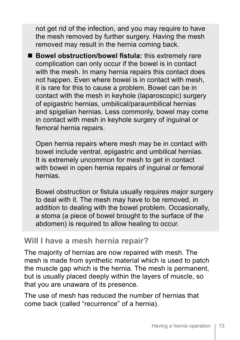not get rid of the infection, and you may require to have the mesh removed by further surgery. Having the mesh removed may result in the hernia coming back.

■ Bowel obstruction/bowel fistula: this extremely rare complication can only occur if the bowel is in contact with the mesh. In many hernia repairs this contact does not happen. Even where bowel is in contact with mesh, it is rare for this to cause a problem. Bowel can be in contact with the mesh in keyhole (laparoscopic) surgery of epigastric hernias, umbilical/paraumbilical hernias and spigelian hernias. Less commonly, bowel may come in contact with mesh in keyhole surgery of inguinal or femoral hernia repairs.

Open hernia repairs where mesh may be in contact with bowel include ventral, epigastric and umbilical hernias. It is extremely uncommon for mesh to get in contact with bowel in open hernia repairs of inguinal or femoral hernias.

Bowel obstruction or fistula usually requires major surgery to deal with it. The mesh may have to be removed, in addition to dealing with the bowel problem. Occasionally, a stoma (a piece of bowel brought to the surface of the abdomen) is required to allow healing to occur.

#### **Will I have a mesh hernia repair?**

The majority of hernias are now repaired with mesh. The mesh is made from synthetic material which is used to patch the muscle gap which is the hernia. The mesh is permanent, but is usually placed deeply within the layers of muscle, so that you are unaware of its presence.

The use of mesh has reduced the number of hernias that come back (called "recurrence" of a hernia).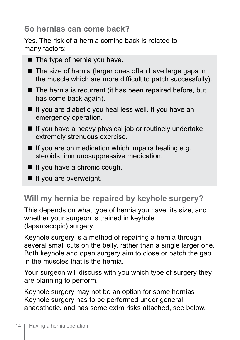## **So hernias can come back?**

Yes. The risk of a hernia coming back is related to many factors:

- $\blacksquare$  The type of hernia you have.
- $\blacksquare$  The size of hernia (larger ones often have large gaps in the muscle which are more difficult to patch successfully).
- $\blacksquare$  The hernia is recurrent (it has been repaired before, but has come back again).
- $\blacksquare$  If you are diabetic you heal less well. If you have an emergency operation.
- $\blacksquare$  If you have a heavy physical job or routinely undertake extremely strenuous exercise.
- $\blacksquare$  If you are on medication which impairs healing e.g. steroids, immunosuppressive medication.
- $\blacksquare$  If you have a chronic cough.
- $\blacksquare$  If you are overweight.

# **Will my hernia be repaired by keyhole surgery?**

This depends on what type of hernia you have, its size, and whether your surgeon is trained in keyhole (laparoscopic) surgery.

Keyhole surgery is a method of repairing a hernia through several small cuts on the belly, rather than a single larger one. Both keyhole and open surgery aim to close or patch the gap in the muscles that is the hernia.

Your surgeon will discuss with you which type of surgery they are planning to perform.

Keyhole surgery may not be an option for some hernias Keyhole surgery has to be performed under general anaesthetic, and has some extra risks attached, see below.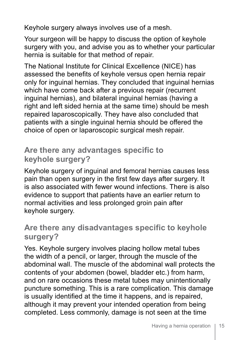Keyhole surgery always involves use of a mesh.

Your surgeon will be happy to discuss the option of keyhole surgery with you, and advise you as to whether your particular hernia is suitable for that method of repair.

The National Institute for Clinical Excellence (NICE) has assessed the benefits of keyhole versus open hernia repair only for inguinal hernias. They concluded that inguinal hernias which have come back after a previous repair (recurrent inguinal hernias), and bilateral inguinal hernias (having a right and left sided hernia at the same time) should be mesh repaired laparoscopically. They have also concluded that patients with a single inguinal hernia should be offered the choice of open or laparoscopic surgical mesh repair.

#### **Are there any advantages specific to keyhole surgery?**

Keyhole surgery of inguinal and femoral hernias causes less pain than open surgery in the first few days after surgery. It is also associated with fewer wound infections. There is also evidence to support that patients have an earlier return to normal activities and less prolonged groin pain after keyhole surgery.

#### **Are there any disadvantages specific to keyhole surgery?**

Yes. Keyhole surgery involves placing hollow metal tubes the width of a pencil, or larger, through the muscle of the abdominal wall. The muscle of the abdominal wall protects the contents of your abdomen (bowel, bladder etc.) from harm, and on rare occasions these metal tubes may unintentionally puncture something. This is a rare complication. This damage is usually identified at the time it happens, and is repaired, although it may prevent your intended operation from being completed. Less commonly, damage is not seen at the time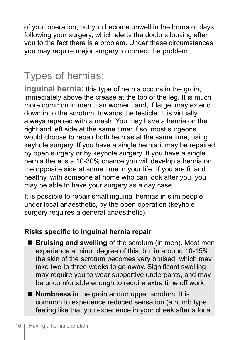of your operation, but you become unwell in the hours or days following your surgery, which alerts the doctors looking after you to the fact there is a problem. Under these circumstances you may require major surgery to correct the problem.

# Types of hernias:

**Inguinal hernia:** this type of hernia occurs in the groin, immediately above the crease at the top of the leg. It is much more common in men than women, and, if large, may extend down in to the scrotum, towards the testicle. It is virtually always repaired with a mesh. You may have a hernia on the right and left side at the same time: if so, most surgeons would choose to repair both hernias at the same time, using keyhole surgery. If you have a single hernia it may be repaired by open surgery or by keyhole surgery. If you have a single hernia there is a 10-30% chance you will develop a hernia on the opposite side at some time in your life. If you are fit and healthy, with someone at home who can look after you, you may be able to have your surgery as a day case.

It is possible to repair small inguinal hernias in slim people under local anaesthetic, by the open operation (keyhole surgery requires a general anaesthetic).

#### **Risks specific to inguinal hernia repair**

- **Bruising and swelling** of the scrotum (in men). Most men experience a minor degree of this, but in around 10-15% the skin of the scrotum becomes very bruised, which may take two to three weeks to go away. Significant swelling may require you to wear supportive underpants, and may be uncomfortable enough to require extra time off work.
- **Numbness** in the groin and/or upper scrotum. It is common to experience reduced sensation (a numb type feeling like that you experience in your cheek after a local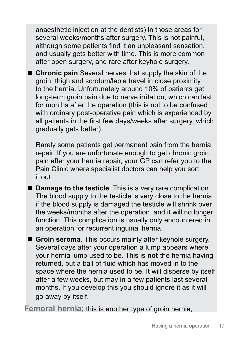anaesthetic injection at the dentists) in those areas for several weeks/months after surgery. This is not painful, although some patients find it an unpleasant sensation, and usually gets better with time. This is more common after open surgery, and rare after keyhole surgery.

■ Chronic pain.Several nerves that supply the skin of the groin, thigh and scrotum/labia travel in close proximity to the hernia. Unfortunately around 10% of patients get long-term groin pain due to nerve irritation, which can last for months after the operation (this is not to be confused with ordinary post-operative pain which is experienced by all patients in the first few days/weeks after surgery, which gradually gets better).

Rarely some patients get permanent pain from the hernia repair. If you are unfortunate enough to get chronic groin pain after your hernia repair, your GP can refer you to the Pain Clinic where specialist doctors can help you sort it out.

■ **Damage to the testicle**. This is a very rare complication. The blood supply to the testicle is very close to the hernia, if the blood supply is damaged the testicle will shrink over the weeks/months after the operation, and it will no longer function. This complication is usually only encountered in an operation for recurrent inguinal hernia.

**E** Groin seroma. This occurs mainly after keyhole surgery. Several days after your operation a lump appears where your hernia lump used to be. This is **not** the hernia having returned, but a ball of fluid which has moved in to the space where the hernia used to be. It will disperse by itself after a few weeks, but may in a few patients last several months. If you develop this you should ignore it as it will go away by itself.

**Femoral hernia;** this is another type of groin hernia,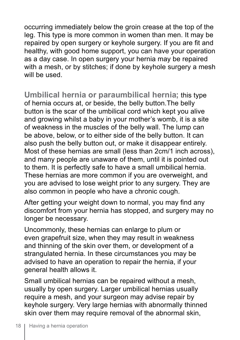occurring immediately below the groin crease at the top of the leg. This type is more common in women than men. It may be repaired by open surgery or keyhole surgery. If you are fit and healthy, with good home support, you can have your operation as a day case. In open surgery your hernia may be repaired with a mesh, or by stitches; if done by keyhole surgery a mesh will be used.

**Umbilical hernia or paraumbilical hernia;** this type of hernia occurs at, or beside, the belly button.The belly button is the scar of the umbilical cord which kept you alive and growing whilst a baby in your mother's womb, it is a site of weakness in the muscles of the belly wall. The lump can be above, below, or to either side of the belly button. It can also push the belly button out, or make it disappear entirely. Most of these hernias are small (less than 2cm/1 inch across), and many people are unaware of them, until it is pointed out to them. It is perfectly safe to have a small umbilical hernia. These hernias are more common if you are overweight, and you are advised to lose weight prior to any surgery. They are also common in people who have a chronic cough.

After getting your weight down to normal, you may find any discomfort from your hernia has stopped, and surgery may no longer be necessary.

Uncommonly, these hernias can enlarge to plum or even grapefruit size, when they may result in weakness and thinning of the skin over them, or development of a strangulated hernia. In these circumstances you may be advised to have an operation to repair the hernia, if your general health allows it.

Small umbilical hernias can be repaired without a mesh, usually by open surgery. Larger umbilical hernias usually require a mesh, and your surgeon may advise repair by keyhole surgery. Very large hernias with abnormally thinned skin over them may require removal of the abnormal skin,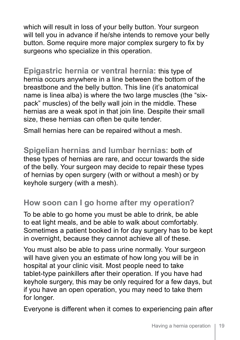which will result in loss of your belly button. Your surgeon will tell you in advance if he/she intends to remove your belly button. Some require more major complex surgery to fix by surgeons who specialize in this operation.

**Epigastric hernia or ventral hernia:** this type of hernia occurs anywhere in a line between the bottom of the breastbone and the belly button. This line (it's anatomical name is linea alba) is where the two large muscles (the "sixpack" muscles) of the belly wall join in the middle. These hernias are a weak spot in that join line. Despite their small size, these hernias can often be quite tender.

Small hernias here can be repaired without a mesh.

**Spigelian hernias and lumbar hernias:** both of these types of hernias are rare, and occur towards the side of the belly. Your surgeon may decide to repair these types of hernias by open surgery (with or without a mesh) or by keyhole surgery (with a mesh).

#### **How soon can I go home after my operation?**

To be able to go home you must be able to drink, be able to eat light meals, and be able to walk about comfortably. Sometimes a patient booked in for day surgery has to be kept in overnight, because they cannot achieve all of these.

You must also be able to pass urine normally. Your surgeon will have given you an estimate of how long you will be in hospital at your clinic visit. Most people need to take tablet-type painkillers after their operation. If you have had keyhole surgery, this may be only required for a few days, but if you have an open operation, you may need to take them for longer.

Everyone is different when it comes to experiencing pain after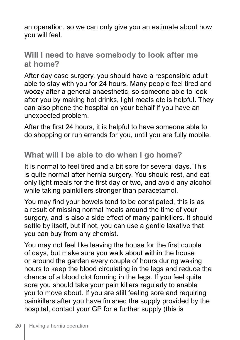an operation, so we can only give you an estimate about how you will feel.

#### **Will I need to have somebody to look after me at home?**

After day case surgery, you should have a responsible adult able to stay with you for 24 hours. Many people feel tired and woozy after a general anaesthetic, so someone able to look after you by making hot drinks, light meals etc is helpful. They can also phone the hospital on your behalf if you have an unexpected problem.

After the first 24 hours, it is helpful to have someone able to do shopping or run errands for you, until you are fully mobile.

### **What will I be able to do when I go home?**

It is normal to feel tired and a bit sore for several days. This is quite normal after hernia surgery. You should rest, and eat only light meals for the first day or two, and avoid any alcohol while taking painkillers stronger than paracetamol.

You may find your bowels tend to be constipated, this is as a result of missing normal meals around the time of your surgery, and is also a side effect of many painkillers. It should settle by itself, but if not, you can use a gentle laxative that you can buy from any chemist.

You may not feel like leaving the house for the first couple of days, but make sure you walk about within the house or around the garden every couple of hours during waking hours to keep the blood circulating in the legs and reduce the chance of a blood clot forming in the legs. If you feel quite sore you should take your pain killers regularly to enable you to move about. If you are still feeling sore and requiring painkillers after you have finished the supply provided by the hospital, contact your GP for a further supply (this is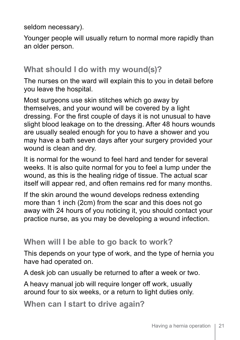seldom necessary).

Younger people will usually return to normal more rapidly than an older person.

#### **What should I do with my wound(s)?**

The nurses on the ward will explain this to you in detail before you leave the hospital.

Most surgeons use skin stitches which go away by themselves, and your wound will be covered by a light dressing. For the first couple of days it is not unusual to have slight blood leakage on to the dressing. After 48 hours wounds are usually sealed enough for you to have a shower and you may have a bath seven days after your surgery provided your wound is clean and dry.

It is normal for the wound to feel hard and tender for several weeks. It is also quite normal for you to feel a lump under the wound, as this is the healing ridge of tissue. The actual scar itself will appear red, and often remains red for many months.

If the skin around the wound develops redness extending more than 1 inch (2cm) from the scar and this does not go away with 24 hours of you noticing it, you should contact your practice nurse, as you may be developing a wound infection.

#### **When will I be able to go back to work?**

This depends on your type of work, and the type of hernia you have had operated on.

A desk job can usually be returned to after a week or two.

A heavy manual job will require longer off work, usually around four to six weeks, or a return to light duties only.

**When can I start to drive again?**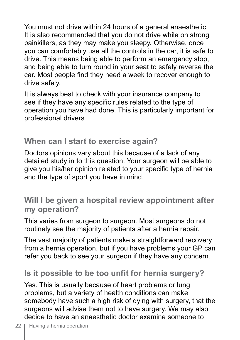You must not drive within 24 hours of a general anaesthetic. It is also recommended that you do not drive while on strong painkillers, as they may make you sleepy. Otherwise, once you can comfortably use all the controls in the car, it is safe to drive. This means being able to perform an emergency stop, and being able to turn round in your seat to safely reverse the car. Most people find they need a week to recover enough to drive safely.

It is always best to check with your insurance company to see if they have any specific rules related to the type of operation you have had done. This is particularly important for professional drivers.

#### **When can I start to exercise again?**

Doctors opinions vary about this because of a lack of any detailed study in to this question. Your surgeon will be able to give you his/her opinion related to your specific type of hernia and the type of sport you have in mind.

#### **Will I be given a hospital review appointment after my operation?**

This varies from surgeon to surgeon. Most surgeons do not routinely see the majority of patients after a hernia repair.

The vast majority of patients make a straightforward recovery from a hernia operation, but if you have problems your GP can refer you back to see your surgeon if they have any concern.

## **Is it possible to be too unfit for hernia surgery?**

Yes. This is usually because of heart problems or lung problems, but a variety of health conditions can make somebody have such a high risk of dying with surgery, that the surgeons will advise them not to have surgery. We may also decide to have an anaesthetic doctor examine someone to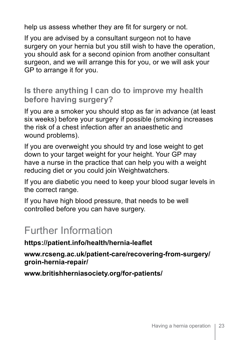help us assess whether they are fit for surgery or not.

If you are advised by a consultant surgeon not to have surgery on your hernia but you still wish to have the operation, you should ask for a second opinion from another consultant surgeon, and we will arrange this for you, or we will ask your GP to arrange it for you.

#### **Is there anything I can do to improve my health before having surgery?**

If you are a smoker you should stop as far in advance (at least six weeks) before your surgery if possible (smoking increases the risk of a chest infection after an anaesthetic and wound problems).

If you are overweight you should try and lose weight to get down to your target weight for your height. Your GP may have a nurse in the practice that can help you with a weight reducing diet or you could join Weightwatchers.

If you are diabetic you need to keep your blood sugar levels in the correct range.

If you have high blood pressure, that needs to be well controlled before you can have surgery.

# Further Information

**https://patient.info/health/hernia-leaflet**

**www.rcseng.ac.uk/patient-care/recovering-from-surgery/ groin-hernia-repair/**

**www.britishherniasociety.org/for-patients/**